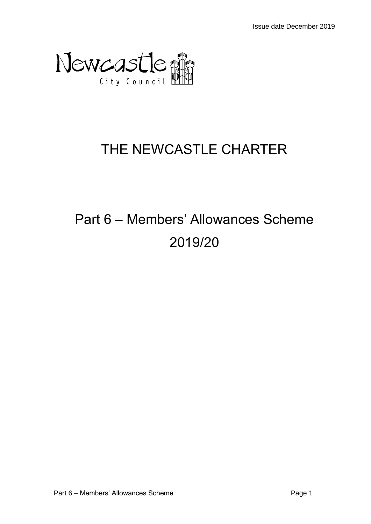

## THE NEWCASTLE CHARTER

# Part 6 – Members' Allowances Scheme 2019/20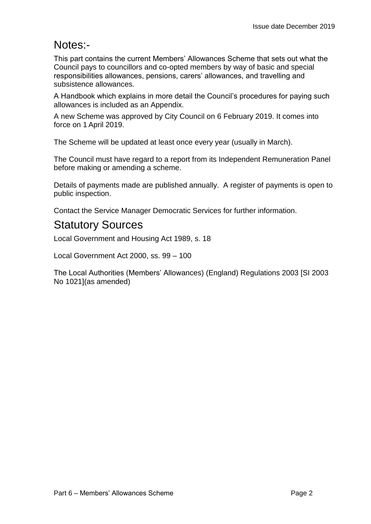## Notes:-

This part contains the current Members' Allowances Scheme that sets out what the Council pays to councillors and co-opted members by way of basic and special responsibilities allowances, pensions, carers' allowances, and travelling and subsistence allowances.

A Handbook which explains in more detail the Council's procedures for paying such allowances is included as an Appendix.

A new Scheme was approved by City Council on 6 February 2019. It comes into force on 1 April 2019.

The Scheme will be updated at least once every year (usually in March).

The Council must have regard to a report from its Independent Remuneration Panel before making or amending a scheme.

Details of payments made are published annually. A register of payments is open to public inspection.

Contact the Service Manager Democratic Services for further information.

## Statutory Sources

Local Government and Housing Act 1989, s. 18

Local Government Act 2000, ss. 99 – 100

The Local Authorities (Members' Allowances) (England) Regulations 2003 [SI 2003 No 1021](as amended)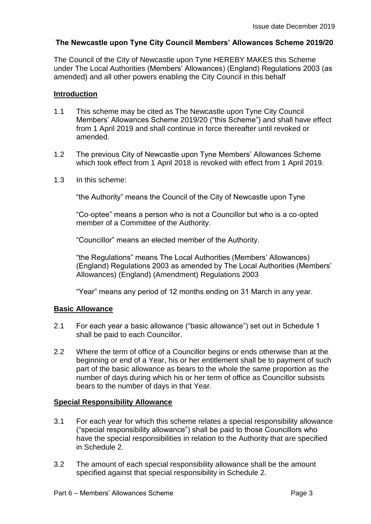#### **The Newcastle upon Tyne City Council Members' Allowances Scheme 2019/20**

The Council of the City of Newcastle upon Tyne HEREBY MAKES this Scheme under The Local Authorities (Members' Allowances) (England) Regulations 2003 (as amended) and all other powers enabling the City Council in this behalf

#### **Introduction**

- 1.1 This scheme may be cited as The Newcastle upon Tyne City Council Members' Allowances Scheme 2019/20 ("this Scheme") and shall have effect from 1 April 2019 and shall continue in force thereafter until revoked or amended.
- 1.2 The previous City of Newcastle upon Tyne Members' Allowances Scheme which took effect from 1 April 2018 is revoked with effect from 1 April 2019.
- 1.3 In this scheme:

"the Authority" means the Council of the City of Newcastle upon Tyne

"Co-optee" means a person who is not a Councillor but who is a co-opted member of a Committee of the Authority.

"Councillor" means an elected member of the Authority.

"the Regulations" means The Local Authorities (Members' Allowances) (England) Regulations 2003 as amended by The Local Authorities (Members' Allowances) (England) (Amendment) Regulations 2003

"Year" means any period of 12 months ending on 31 March in any year.

#### **Basic Allowance**

- 2.1 For each year a basic allowance ("basic allowance") set out in Schedule 1 shall be paid to each Councillor.
- 2.2 Where the term of office of a Councillor begins or ends otherwise than at the beginning or end of a Year, his or her entitlement shall be to payment of such part of the basic allowance as bears to the whole the same proportion as the number of days during which his or her term of office as Councillor subsists bears to the number of days in that Year.

#### **Special Responsibility Allowance**

- 3.1 For each year for which this scheme relates a special responsibility allowance ("special responsibility allowance") shall be paid to those Councillors who have the special responsibilities in relation to the Authority that are specified in Schedule 2.
- 3.2 The amount of each special responsibility allowance shall be the amount specified against that special responsibility in Schedule 2.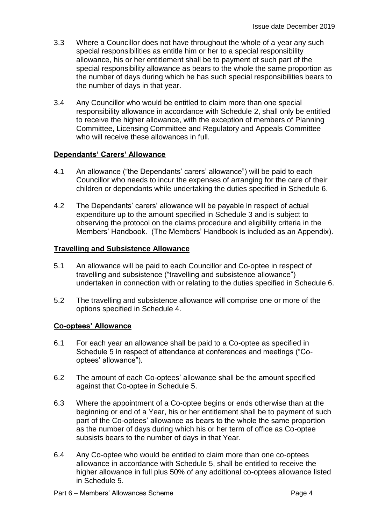- 3.3 Where a Councillor does not have throughout the whole of a year any such special responsibilities as entitle him or her to a special responsibility allowance, his or her entitlement shall be to payment of such part of the special responsibility allowance as bears to the whole the same proportion as the number of days during which he has such special responsibilities bears to the number of days in that year.
- 3.4 Any Councillor who would be entitled to claim more than one special responsibility allowance in accordance with Schedule 2, shall only be entitled to receive the higher allowance, with the exception of members of Planning Committee, Licensing Committee and Regulatory and Appeals Committee who will receive these allowances in full.

#### **Dependants' Carers' Allowance**

- 4.1 An allowance ("the Dependants' carers' allowance") will be paid to each Councillor who needs to incur the expenses of arranging for the care of their children or dependants while undertaking the duties specified in Schedule 6.
- 4.2 The Dependants' carers' allowance will be payable in respect of actual expenditure up to the amount specified in Schedule 3 and is subject to observing the protocol on the claims procedure and eligibility criteria in the Members' Handbook. (The Members' Handbook is included as an Appendix).

#### **Travelling and Subsistence Allowance**

- 5.1 An allowance will be paid to each Councillor and Co-optee in respect of travelling and subsistence ("travelling and subsistence allowance") undertaken in connection with or relating to the duties specified in Schedule 6.
- 5.2 The travelling and subsistence allowance will comprise one or more of the options specified in Schedule 4.

#### **Co-optees' Allowance**

- 6.1 For each year an allowance shall be paid to a Co-optee as specified in Schedule 5 in respect of attendance at conferences and meetings ("Cooptees' allowance").
- 6.2 The amount of each Co-optees' allowance shall be the amount specified against that Co-optee in Schedule 5.
- 6.3 Where the appointment of a Co-optee begins or ends otherwise than at the beginning or end of a Year, his or her entitlement shall be to payment of such part of the Co-optees' allowance as bears to the whole the same proportion as the number of days during which his or her term of office as Co-optee subsists bears to the number of days in that Year.
- 6.4 Any Co-optee who would be entitled to claim more than one co-optees allowance in accordance with Schedule 5, shall be entitled to receive the higher allowance in full plus 50% of any additional co-optees allowance listed in Schedule 5.
- Part 6 Members' Allowances Scheme **Page 4**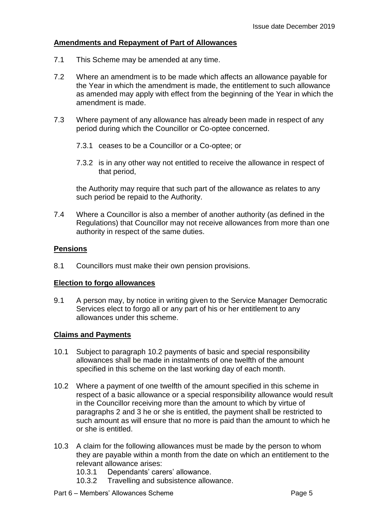#### **Amendments and Repayment of Part of Allowances**

- 7.1 This Scheme may be amended at any time.
- 7.2 Where an amendment is to be made which affects an allowance payable for the Year in which the amendment is made, the entitlement to such allowance as amended may apply with effect from the beginning of the Year in which the amendment is made.
- 7.3 Where payment of any allowance has already been made in respect of any period during which the Councillor or Co-optee concerned.
	- 7.3.1 ceases to be a Councillor or a Co-optee; or
	- 7.3.2 is in any other way not entitled to receive the allowance in respect of that period,

the Authority may require that such part of the allowance as relates to any such period be repaid to the Authority.

7.4 Where a Councillor is also a member of another authority (as defined in the Regulations) that Councillor may not receive allowances from more than one authority in respect of the same duties.

#### **Pensions**

8.1 Councillors must make their own pension provisions.

#### **Election to forgo allowances**

9.1 A person may, by notice in writing given to the Service Manager Democratic Services elect to forgo all or any part of his or her entitlement to any allowances under this scheme.

#### **Claims and Payments**

- 10.1 Subject to paragraph 10.2 payments of basic and special responsibility allowances shall be made in instalments of one twelfth of the amount specified in this scheme on the last working day of each month.
- 10.2 Where a payment of one twelfth of the amount specified in this scheme in respect of a basic allowance or a special responsibility allowance would result in the Councillor receiving more than the amount to which by virtue of paragraphs 2 and 3 he or she is entitled, the payment shall be restricted to such amount as will ensure that no more is paid than the amount to which he or she is entitled.
- 10.3 A claim for the following allowances must be made by the person to whom they are payable within a month from the date on which an entitlement to the relevant allowance arises:
	- 10.3.1 Dependants' carers' allowance.
	- 10.3.2 Travelling and subsistence allowance.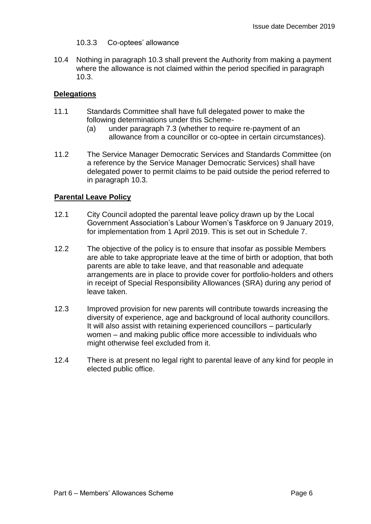- 10.3.3 Co-optees' allowance
- 10.4 Nothing in paragraph 10.3 shall prevent the Authority from making a payment where the allowance is not claimed within the period specified in paragraph 10.3.

#### **Delegations**

- 11.1 Standards Committee shall have full delegated power to make the following determinations under this Scheme-
	- (a) under paragraph 7.3 (whether to require re-payment of an allowance from a councillor or co-optee in certain circumstances).
- 11.2 The Service Manager Democratic Services and Standards Committee (on a reference by the Service Manager Democratic Services) shall have delegated power to permit claims to be paid outside the period referred to in paragraph 10.3.

#### **Parental Leave Policy**

- 12.1 City Council adopted the parental leave policy drawn up by the Local Government Association's Labour Women's Taskforce on 9 January 2019, for implementation from 1 April 2019. This is set out in Schedule 7.
- 12.2 The objective of the policy is to ensure that insofar as possible Members are able to take appropriate leave at the time of birth or adoption, that both parents are able to take leave, and that reasonable and adequate arrangements are in place to provide cover for portfolio-holders and others in receipt of Special Responsibility Allowances (SRA) during any period of leave taken.
- 12.3 Improved provision for new parents will contribute towards increasing the diversity of experience, age and background of local authority councillors. It will also assist with retaining experienced councillors – particularly women – and making public office more accessible to individuals who might otherwise feel excluded from it.
- 12.4 There is at present no legal right to parental leave of any kind for people in elected public office.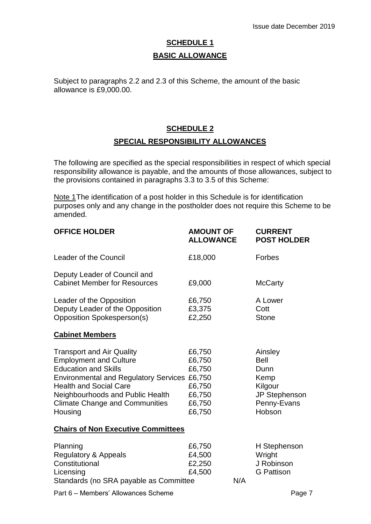## **SCHEDULE 1 BASIC ALLOWANCE**

Subject to paragraphs 2.2 and 2.3 of this Scheme, the amount of the basic allowance is £9,000.00.

#### **SCHEDULE 2**

#### **SPECIAL RESPONSIBILITY ALLOWANCES**

The following are specified as the special responsibilities in respect of which special responsibility allowance is payable, and the amounts of those allowances, subject to the provisions contained in paragraphs 3.3 to 3.5 of this Scheme:

Note 1The identification of a post holder in this Schedule is for identification purposes only and any change in the postholder does not require this Scheme to be amended.

| <b>OFFICE HOLDER</b>                                                                                                                                                                                                                                                      | <b>AMOUNT OF</b><br><b>ALLOWANCE</b>                               |     | <b>CURRENT</b><br><b>POST HOLDER</b>                                                        |
|---------------------------------------------------------------------------------------------------------------------------------------------------------------------------------------------------------------------------------------------------------------------------|--------------------------------------------------------------------|-----|---------------------------------------------------------------------------------------------|
| <b>Leader of the Council</b>                                                                                                                                                                                                                                              | £18,000                                                            |     | Forbes                                                                                      |
| Deputy Leader of Council and<br><b>Cabinet Member for Resources</b>                                                                                                                                                                                                       | £9,000                                                             |     | <b>McCarty</b>                                                                              |
| Leader of the Opposition<br>Deputy Leader of the Opposition<br><b>Opposition Spokesperson(s)</b>                                                                                                                                                                          | £6,750<br>£3,375<br>£2,250                                         |     | A Lower<br>Cott<br><b>Stone</b>                                                             |
| <b>Cabinet Members</b>                                                                                                                                                                                                                                                    |                                                                    |     |                                                                                             |
| <b>Transport and Air Quality</b><br><b>Employment and Culture</b><br><b>Education and Skills</b><br>Environmental and Regulatory Services £6,750<br><b>Health and Social Care</b><br>Neighbourhoods and Public Health<br><b>Climate Change and Communities</b><br>Housing | £6,750<br>£6,750<br>£6,750<br>£6,750<br>£6,750<br>£6,750<br>£6,750 |     | Ainsley<br><b>Bell</b><br>Dunn<br>Kemp<br>Kilgour<br>JP Stephenson<br>Penny-Evans<br>Hobson |
| <b>Chairs of Non Executive Committees</b>                                                                                                                                                                                                                                 |                                                                    |     |                                                                                             |
| Planning<br>Regulatory & Appeals<br>Constitutional<br>Licensing<br>Standards (no SRA payable as Committee                                                                                                                                                                 | £6,750<br>£4,500<br>£2,250<br>£4,500                               | N/A | H Stephenson<br>Wright<br>J Robinson<br><b>G</b> Pattison                                   |
| Part 6 - Members' Allowances Scheme                                                                                                                                                                                                                                       |                                                                    |     | Page 7                                                                                      |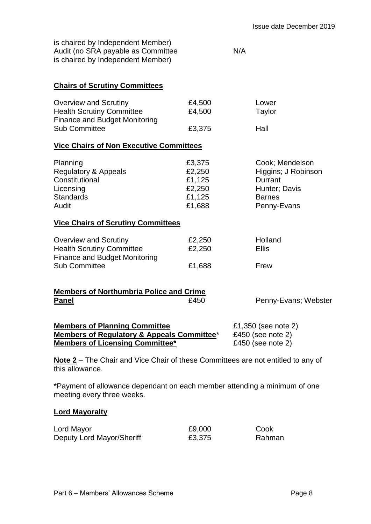| is chaired by Independent Member)  |     |
|------------------------------------|-----|
| Audit (no SRA payable as Committee | N/A |
| is chaired by Independent Member)  |     |

#### **Chairs of Scrutiny Committees**

| <b>Overview and Scrutiny</b>         | £4,500 | Lower               |
|--------------------------------------|--------|---------------------|
| <b>Health Scrutiny Committee</b>     | £4,500 | Taylor              |
| <b>Finance and Budget Monitoring</b> |        |                     |
| <b>Sub Committee</b>                 | £3,375 | Hall                |
|                                      |        |                     |
|                                      |        |                     |
| Planning                             | £3,375 | Cook; Mendelson     |
| Regulatory & Appeals                 | £2,250 | Higgins; J Robinson |
| Constitutional                       | £1,125 | Durrant             |
| Licensing                            | £2,250 | Hunter; Davis       |

#### **Vice Chairs of Scrutiny Committees**

|                                  |        | Holland |
|----------------------------------|--------|---------|
| Overview and Scrutiny            | £2,250 |         |
| <b>Health Scrutiny Committee</b> | £2,250 | Ellis   |
| Finance and Budget Monitoring    |        |         |
| <b>Sub Committee</b>             | £1,688 | Frew    |

Standards **E1,125** Barnes

Audit **E1,688** Penny-Evans

#### **Members of Northumbria Police and Crime Panel**<br>**E450** Penny-Evans; Webster

| <b>Members of Planning Committee</b>       | £1,350 (see note 2) |
|--------------------------------------------|---------------------|
| Members of Regulatory & Appeals Committee* | £450 (see note 2)   |
| <b>Members of Licensing Committee*</b>     | £450 (see note 2)   |

**Note 2** – The Chair and Vice Chair of these Committees are not entitled to any of this allowance.

\*Payment of allowance dependant on each member attending a minimum of one meeting every three weeks.

#### **Lord Mayoralty**

| Lord Mayor                | £9,000 | Cook   |
|---------------------------|--------|--------|
| Deputy Lord Mayor/Sheriff | £3,375 | Rahman |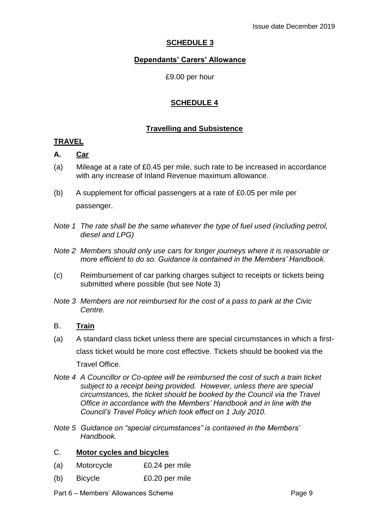#### **SCHEDULE 3**

#### **Dependants' Carers' Allowance**

£9.00 per hour

#### **SCHEDULE 4**

#### **Travelling and Subsistence**

#### **TRAVEL**

#### **A. Car**

- (a) Mileage at a rate of £0.45 per mile, such rate to be increased in accordance with any increase of Inland Revenue maximum allowance.
- (b) A supplement for official passengers at a rate of £0.05 per mile per passenger.
- *Note 1 The rate shall be the same whatever the type of fuel used (including petrol, diesel and LPG)*
- *Note 2 Members should only use cars for longer journeys where it is reasonable or more efficient to do so. Guidance is contained in the Members' Handbook.*
- (c) Reimbursement of car parking charges subject to receipts or tickets being submitted where possible (but see Note 3)
- *Note 3 Members are not reimbursed for the cost of a pass to park at the Civic Centre.*

#### B. **Train**

- (a) A standard class ticket unless there are special circumstances in which a firstclass ticket would be more cost effective. Tickets should be booked via the Travel Office.
- *Note 4 A Councillor or Co-optee will be reimbursed the cost of such a train ticket subject to a receipt being provided. However, unless there are special circumstances, the ticket should be booked by the Council via the Travel Office in accordance with the Members' Handbook and in line with the Council's Travel Policy which took effect on 1 July 2010.*
- *Note 5 Guidance on "special circumstances" is contained in the Members' Handbook.*

#### C. **Motor cycles and bicycles**

- (a) Motorcycle £0.24 per mile
- (b) Bicycle £0.20 per mile
- Part 6 Members' Allowances Scheme Page 9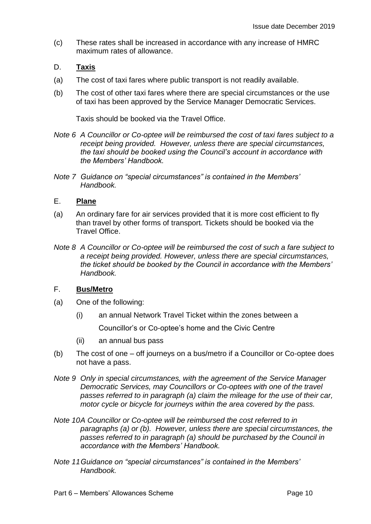(c) These rates shall be increased in accordance with any increase of HMRC maximum rates of allowance.

#### D. **Taxis**

- (a) The cost of taxi fares where public transport is not readily available.
- (b) The cost of other taxi fares where there are special circumstances or the use of taxi has been approved by the Service Manager Democratic Services.

Taxis should be booked via the Travel Office.

- *Note 6 A Councillor or Co-optee will be reimbursed the cost of taxi fares subject to a receipt being provided. However, unless there are special circumstances, the taxi should be booked using the Council's account in accordance with the Members' Handbook.*
- *Note 7 Guidance on "special circumstances" is contained in the Members' Handbook.*

#### E. **Plane**

- (a) An ordinary fare for air services provided that it is more cost efficient to fly than travel by other forms of transport. Tickets should be booked via the Travel Office.
- *Note 8 A Councillor or Co-optee will be reimbursed the cost of such a fare subject to a receipt being provided. However, unless there are special circumstances, the ticket should be booked by the Council in accordance with the Members' Handbook.*

#### F. **Bus/Metro**

- (a) One of the following:
	- (i) an annual Network Travel Ticket within the zones between a Councillor's or Co-optee's home and the Civic Centre
	- (ii) an annual bus pass
- (b) The cost of one off journeys on a bus/metro if a Councillor or Co-optee does not have a pass.
- *Note 9 Only in special circumstances, with the agreement of the Service Manager Democratic Services, may Councillors or Co-optees with one of the travel passes referred to in paragraph (a) claim the mileage for the use of their car, motor cycle or bicycle for journeys within the area covered by the pass.*
- *Note 10A Councillor or Co-optee will be reimbursed the cost referred to in paragraphs (a) or (b). However, unless there are special circumstances, the passes referred to in paragraph (a) should be purchased by the Council in accordance with the Members' Handbook.*
- *Note 11Guidance on "special circumstances" is contained in the Members' Handbook.*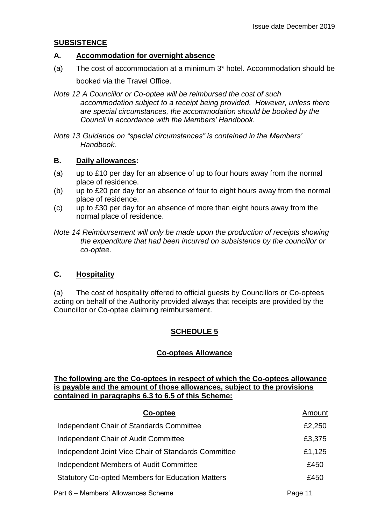#### **SUBSISTENCE**

#### **A. Accommodation for overnight absence**

- (a) The cost of accommodation at a minimum 3\* hotel. Accommodation should be booked via the Travel Office.
- *Note 12 A Councillor or Co-optee will be reimbursed the cost of such accommodation subject to a receipt being provided. However, unless there are special circumstances, the accommodation should be booked by the Council in accordance with the Members' Handbook.*
- *Note 13 Guidance on "special circumstances" is contained in the Members' Handbook.*

#### **B. Daily allowances:**

- (a) up to £10 per day for an absence of up to four hours away from the normal place of residence.
- (b) up to £20 per day for an absence of four to eight hours away from the normal place of residence.
- (c) up to £30 per day for an absence of more than eight hours away from the normal place of residence.

*Note 14 Reimbursement will only be made upon the production of receipts showing the expenditure that had been incurred on subsistence by the councillor or co-optee.*

#### **C. Hospitality**

(a) The cost of hospitality offered to official guests by Councillors or Co-optees acting on behalf of the Authority provided always that receipts are provided by the Councillor or Co-optee claiming reimbursement.

#### **SCHEDULE 5**

#### **Co-optees Allowance**

#### **The following are the Co-optees in respect of which the Co-optees allowance is payable and the amount of those allowances, subject to the provisions contained in paragraphs 6.3 to 6.5 of this Scheme:**

| Co-optee                                                | Amount  |
|---------------------------------------------------------|---------|
| Independent Chair of Standards Committee                | £2,250  |
| Independent Chair of Audit Committee                    | £3,375  |
| Independent Joint Vice Chair of Standards Committee     | £1,125  |
| Independent Members of Audit Committee                  | £450    |
| <b>Statutory Co-opted Members for Education Matters</b> | £450    |
| Part 6 - Members' Allowances Scheme                     | Page 11 |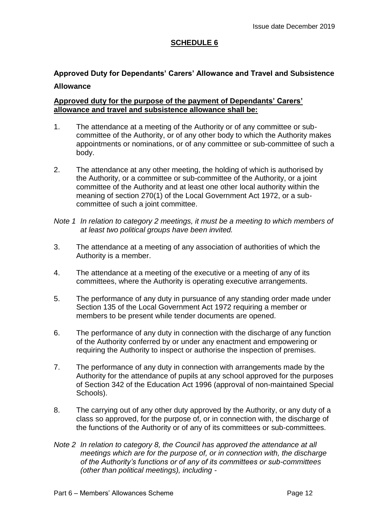#### **SCHEDULE 6**

### **Approved Duty for Dependants' Carers' Allowance and Travel and Subsistence Allowance**

#### **Approved duty for the purpose of the payment of Dependants' Carers' allowance and travel and subsistence allowance shall be:**

- 1. The attendance at a meeting of the Authority or of any committee or subcommittee of the Authority, or of any other body to which the Authority makes appointments or nominations, or of any committee or sub-committee of such a body.
- 2. The attendance at any other meeting, the holding of which is authorised by the Authority, or a committee or sub-committee of the Authority, or a joint committee of the Authority and at least one other local authority within the meaning of section 270(1) of the Local Government Act 1972, or a subcommittee of such a joint committee.
- *Note 1 In relation to category 2 meetings, it must be a meeting to which members of at least two political groups have been invited.*
- 3. The attendance at a meeting of any association of authorities of which the Authority is a member.
- 4. The attendance at a meeting of the executive or a meeting of any of its committees, where the Authority is operating executive arrangements.
- 5. The performance of any duty in pursuance of any standing order made under Section 135 of the Local Government Act 1972 requiring a member or members to be present while tender documents are opened.
- 6. The performance of any duty in connection with the discharge of any function of the Authority conferred by or under any enactment and empowering or requiring the Authority to inspect or authorise the inspection of premises.
- 7. The performance of any duty in connection with arrangements made by the Authority for the attendance of pupils at any school approved for the purposes of Section 342 of the Education Act 1996 (approval of non-maintained Special Schools).
- 8. The carrying out of any other duty approved by the Authority, or any duty of a class so approved, for the purpose of, or in connection with, the discharge of the functions of the Authority or of any of its committees or sub-committees.
- *Note 2 In relation to category 8, the Council has approved the attendance at all meetings which are for the purpose of, or in connection with, the discharge of the Authority's functions or of any of its committees or sub-committees (other than political meetings), including -*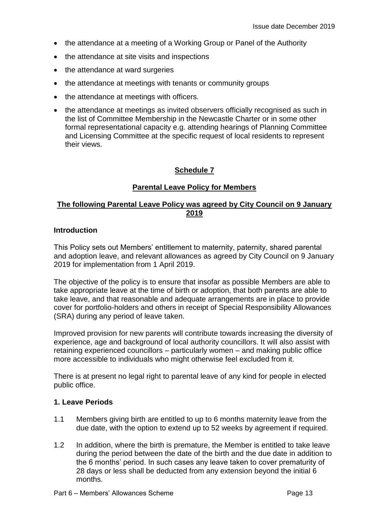- the attendance at a meeting of a Working Group or Panel of the Authority
- the attendance at site visits and inspections
- the attendance at ward surgeries
- the attendance at meetings with tenants or community groups
- the attendance at meetings with officers.
- the attendance at meetings as invited observers officially recognised as such in the list of Committee Membership in the Newcastle Charter or in some other formal representational capacity e.g. attending hearings of Planning Committee and Licensing Committee at the specific request of local residents to represent their views.

#### **Schedule 7**

#### **Parental Leave Policy for Members**

#### **The following Parental Leave Policy was agreed by City Council on 9 January 2019**

#### **Introduction**

This Policy sets out Members' entitlement to maternity, paternity, shared parental and adoption leave, and relevant allowances as agreed by City Council on 9 January 2019 for implementation from 1 April 2019.

The objective of the policy is to ensure that insofar as possible Members are able to take appropriate leave at the time of birth or adoption, that both parents are able to take leave, and that reasonable and adequate arrangements are in place to provide cover for portfolio-holders and others in receipt of Special Responsibility Allowances (SRA) during any period of leave taken.

Improved provision for new parents will contribute towards increasing the diversity of experience, age and background of local authority councillors. It will also assist with retaining experienced councillors – particularly women – and making public office more accessible to individuals who might otherwise feel excluded from it.

There is at present no legal right to parental leave of any kind for people in elected public office.

#### **1. Leave Periods**

- 1.1 Members giving birth are entitled to up to 6 months maternity leave from the due date, with the option to extend up to 52 weeks by agreement if required.
- 1.2 In addition, where the birth is premature, the Member is entitled to take leave during the period between the date of the birth and the due date in addition to the 6 months' period. In such cases any leave taken to cover prematurity of 28 days or less shall be deducted from any extension beyond the initial 6 months.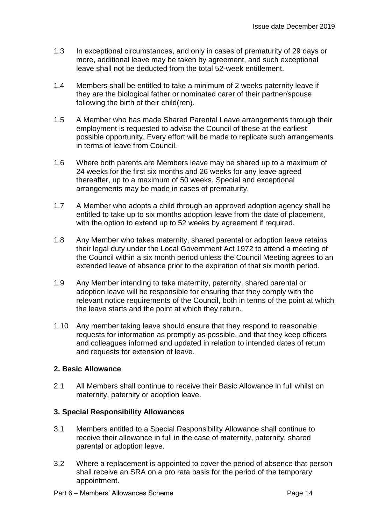- 1.3 In exceptional circumstances, and only in cases of prematurity of 29 days or more, additional leave may be taken by agreement, and such exceptional leave shall not be deducted from the total 52-week entitlement.
- 1.4 Members shall be entitled to take a minimum of 2 weeks paternity leave if they are the biological father or nominated carer of their partner/spouse following the birth of their child(ren).
- 1.5 A Member who has made Shared Parental Leave arrangements through their employment is requested to advise the Council of these at the earliest possible opportunity. Every effort will be made to replicate such arrangements in terms of leave from Council.
- 1.6 Where both parents are Members leave may be shared up to a maximum of 24 weeks for the first six months and 26 weeks for any leave agreed thereafter, up to a maximum of 50 weeks. Special and exceptional arrangements may be made in cases of prematurity.
- 1.7 A Member who adopts a child through an approved adoption agency shall be entitled to take up to six months adoption leave from the date of placement, with the option to extend up to 52 weeks by agreement if required.
- 1.8 Any Member who takes maternity, shared parental or adoption leave retains their legal duty under the Local Government Act 1972 to attend a meeting of the Council within a six month period unless the Council Meeting agrees to an extended leave of absence prior to the expiration of that six month period.
- 1.9 Any Member intending to take maternity, paternity, shared parental or adoption leave will be responsible for ensuring that they comply with the relevant notice requirements of the Council, both in terms of the point at which the leave starts and the point at which they return.
- 1.10 Any member taking leave should ensure that they respond to reasonable requests for information as promptly as possible, and that they keep officers and colleagues informed and updated in relation to intended dates of return and requests for extension of leave.

#### **2. Basic Allowance**

2.1 All Members shall continue to receive their Basic Allowance in full whilst on maternity, paternity or adoption leave.

#### **3. Special Responsibility Allowances**

- 3.1 Members entitled to a Special Responsibility Allowance shall continue to receive their allowance in full in the case of maternity, paternity, shared parental or adoption leave.
- 3.2 Where a replacement is appointed to cover the period of absence that person shall receive an SRA on a pro rata basis for the period of the temporary appointment.
- Part 6 Members' Allowances Scheme Page 14